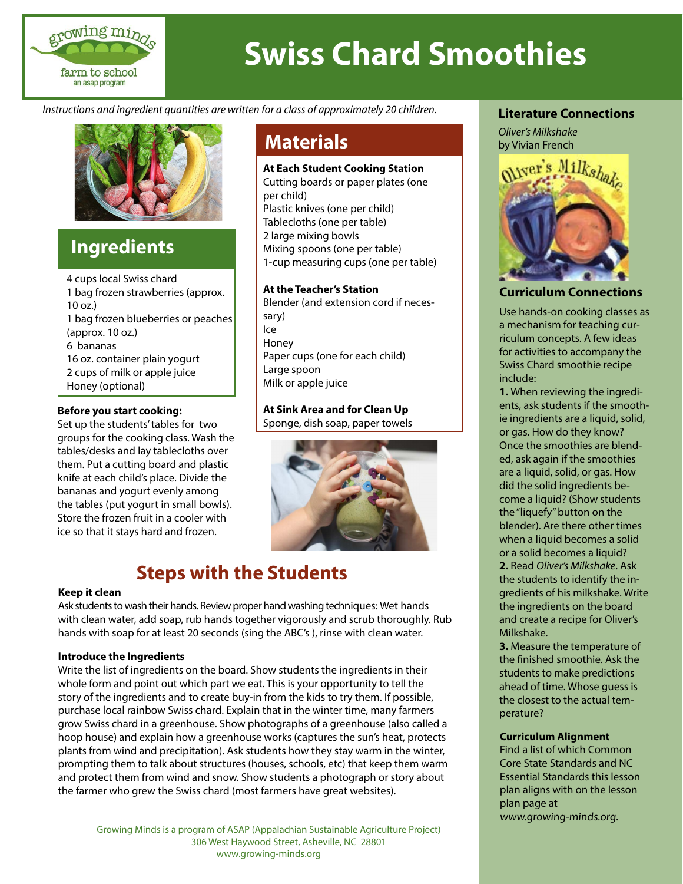

# **Swiss Chard Smoothies**

*Instructions and ingredient quantities are written for a class of approximately 20 children.*



### **Ingredients**

4 cups local Swiss chard 1 bag frozen strawberries (approx. 10 oz.) 1 bag frozen blueberries or peaches (approx. 10 oz.) 6 bananas 16 oz. container plain yogurt 2 cups of milk or apple juice Honey (optional)

#### **Before you start cooking:**

Set up the students' tables for two groups for the cooking class. Wash the tables/desks and lay tablecloths over them. Put a cutting board and plastic knife at each child's place. Divide the bananas and yogurt evenly among the tables (put yogurt in small bowls). Store the frozen fruit in a cooler with ice so that it stays hard and frozen.

#### **At Each Student Cooking Station**

Cutting boards or paper plates (one per child) Plastic knives (one per child) Tablecloths (one per table) 2 large mixing bowls Mixing spoons (one per table) 1-cup measuring cups (one per table)

#### **At the Teacher's Station**

Blender (and extension cord if necessary) Ice Honey Paper cups (one for each child) Large spoon Milk or apple juice

#### **At Sink Area and for Clean Up**

Sponge, dish soap, paper towels



## **Steps with the Students**

#### **Keep it clean**

Ask students to wash their hands. Review proper hand washing techniques: Wet hands with clean water, add soap, rub hands together vigorously and scrub thoroughly. Rub hands with soap for at least 20 seconds (sing the ABC's ), rinse with clean water.

#### **Introduce the Ingredients**

Write the list of ingredients on the board. Show students the ingredients in their whole form and point out which part we eat. This is your opportunity to tell the story of the ingredients and to create buy-in from the kids to try them. If possible, purchase local rainbow Swiss chard. Explain that in the winter time, many farmers grow Swiss chard in a greenhouse. Show photographs of a greenhouse (also called a hoop house) and explain how a greenhouse works (captures the sun's heat, protects plants from wind and precipitation). Ask students how they stay warm in the winter, prompting them to talk about structures (houses, schools, etc) that keep them warm and protect them from wind and snow. Show students a photograph or story about the farmer who grew the Swiss chard (most farmers have great websites).

Growing Minds is a program of ASAP (Appalachian Sustainable Agriculture Project) 306 West Haywood Street, Asheville, NC 28801 www.growing-minds.org

#### **Literature Connections**



#### **Curriculum Connections**

Use hands-on cooking classes as a mechanism for teaching curriculum concepts. A few ideas for activities to accompany the Swiss Chard smoothie recipe include:

**1.** When reviewing the ingredients, ask students if the smoothie ingredients are a liquid, solid, or gas. How do they know? Once the smoothies are blended, ask again if the smoothies are a liquid, solid, or gas. How did the solid ingredients become a liquid? (Show students the "liquefy" button on the blender). Are there other times when a liquid becomes a solid or a solid becomes a liquid? **2.** Read *Oliver's Milkshake*. Ask the students to identify the ingredients of his milkshake. Write the ingredients on the board and create a recipe for Oliver's Milkshake.

**3.** Measure the temperature of the finished smoothie. Ask the students to make predictions ahead of time. Whose guess is the closest to the actual temperature?

#### **Curriculum Alignment**

Find a list of which Common Core State Standards and NC Essential Standards this lesson plan aligns with on the lesson plan page at www.growing-minds.org.